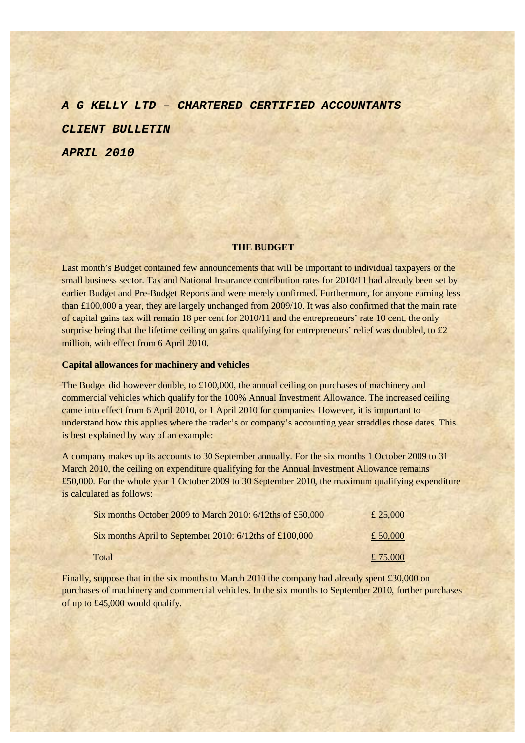*A G KELLY LTD – CHARTERED CERTIFIED ACCOUNTANTS CLIENT BULLETIN APRIL 2010* 

#### **THE BUDGET**

Last month's Budget contained few announcements that will be important to individual taxpayers or the small business sector. Tax and National Insurance contribution rates for 2010/11 had already been set by earlier Budget and Pre-Budget Reports and were merely confirmed. Furthermore, for anyone earning less than £100,000 a year, they are largely unchanged from 2009/10. It was also confirmed that the main rate of capital gains tax will remain 18 per cent for 2010/11 and the entrepreneurs' rate 10 cent, the only surprise being that the lifetime ceiling on gains qualifying for entrepreneurs' relief was doubled, to £2 million, with effect from 6 April 2010.

### **Capital allowances for machinery and vehicles**

The Budget did however double, to £100,000, the annual ceiling on purchases of machinery and commercial vehicles which qualify for the 100% Annual Investment Allowance. The increased ceiling came into effect from 6 April 2010, or 1 April 2010 for companies. However, it is important to understand how this applies where the trader's or company's accounting year straddles those dates. This is best explained by way of an example:

A company makes up its accounts to 30 September annually. For the six months 1 October 2009 to 31 March 2010, the ceiling on expenditure qualifying for the Annual Investment Allowance remains £50,000. For the whole year 1 October 2009 to 30 September 2010, the maximum qualifying expenditure is calculated as follows:

| Six months October 2009 to March 2010: 6/12ths of £50,000  | £ 25,000 |
|------------------------------------------------------------|----------|
| Six months April to September 2010: $6/12$ ths of £100,000 | £ 50,000 |
| Total                                                      | £ 75,000 |

Finally, suppose that in the six months to March 2010 the company had already spent £30,000 on purchases of machinery and commercial vehicles. In the six months to September 2010, further purchases of up to £45,000 would qualify.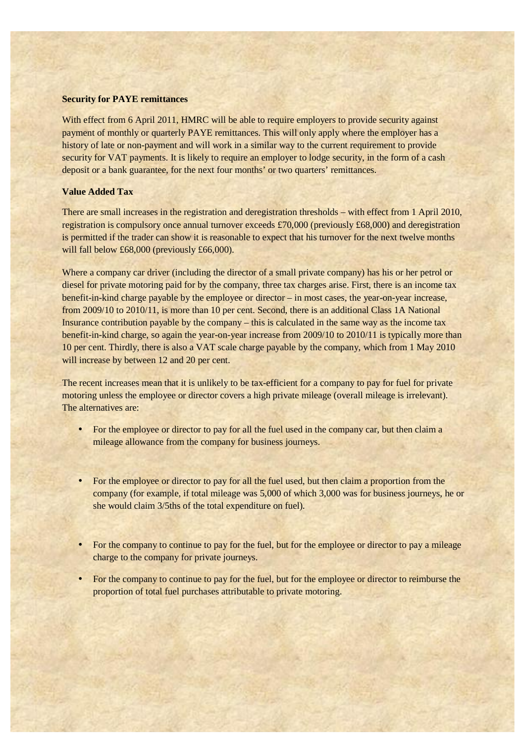### **Security for PAYE remittances**

With effect from 6 April 2011, HMRC will be able to require employers to provide security against payment of monthly or quarterly PAYE remittances. This will only apply where the employer has a history of late or non-payment and will work in a similar way to the current requirement to provide security for VAT payments. It is likely to require an employer to lodge security, in the form of a cash deposit or a bank guarantee, for the next four months' or two quarters' remittances.

# **Value Added Tax**

There are small increases in the registration and deregistration thresholds – with effect from 1 April 2010, registration is compulsory once annual turnover exceeds £70,000 (previously £68,000) and deregistration is permitted if the trader can show it is reasonable to expect that his turnover for the next twelve months will fall below £68,000 (previously £66,000).

Where a company car driver (including the director of a small private company) has his or her petrol or diesel for private motoring paid for by the company, three tax charges arise. First, there is an income tax benefit-in-kind charge payable by the employee or director – in most cases, the year-on-year increase, from 2009/10 to 2010/11, is more than 10 per cent. Second, there is an additional Class 1A National Insurance contribution payable by the company – this is calculated in the same way as the income tax benefit-in-kind charge, so again the year-on-year increase from 2009/10 to 2010/11 is typically more than 10 per cent. Thirdly, there is also a VAT scale charge payable by the company, which from 1 May 2010 will increase by between 12 and 20 per cent.

The recent increases mean that it is unlikely to be tax-efficient for a company to pay for fuel for private motoring unless the employee or director covers a high private mileage (overall mileage is irrelevant). The alternatives are:

- For the employee or director to pay for all the fuel used in the company car, but then claim a mileage allowance from the company for business journeys.
- For the employee or director to pay for all the fuel used, but then claim a proportion from the company (for example, if total mileage was 5,000 of which 3,000 was for business journeys, he or she would claim 3/5ths of the total expenditure on fuel).
- For the company to continue to pay for the fuel, but for the employee or director to pay a mileage charge to the company for private journeys.
- For the company to continue to pay for the fuel, but for the employee or director to reimburse the proportion of total fuel purchases attributable to private motoring.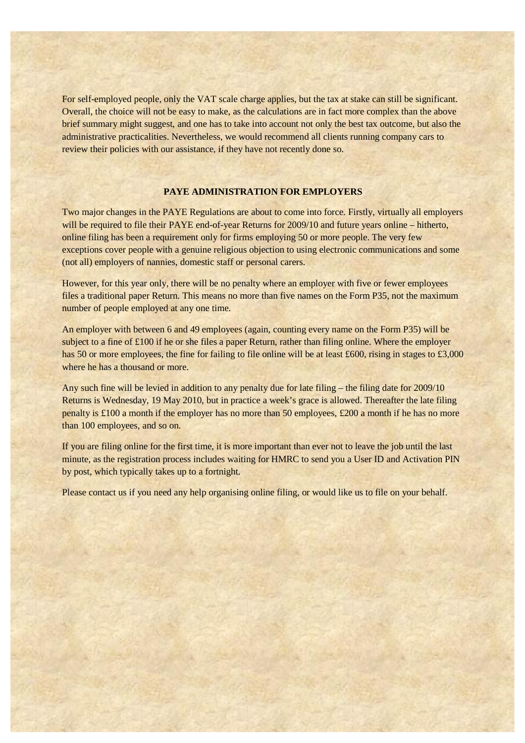For self-employed people, only the VAT scale charge applies, but the tax at stake can still be significant. Overall, the choice will not be easy to make, as the calculations are in fact more complex than the above brief summary might suggest, and one has to take into account not only the best tax outcome, but also the administrative practicalities. Nevertheless, we would recommend all clients running company cars to review their policies with our assistance, if they have not recently done so.

# **PAYE ADMINISTRATION FOR EMPLOYERS**

Two major changes in the PAYE Regulations are about to come into force. Firstly, virtually all employers will be required to file their PAYE end-of-year Returns for 2009/10 and future years online – hitherto, online filing has been a requirement only for firms employing 50 or more people. The very few exceptions cover people with a genuine religious objection to using electronic communications and some (not all) employers of nannies, domestic staff or personal carers.

However, for this year only, there will be no penalty where an employer with five or fewer employees files a traditional paper Return. This means no more than five names on the Form P35, not the maximum number of people employed at any one time.

An employer with between 6 and 49 employees (again, counting every name on the Form P35) will be subject to a fine of £100 if he or she files a paper Return, rather than filing online. Where the employer has 50 or more employees, the fine for failing to file online will be at least £600, rising in stages to £3,000 where he has a thousand or more.

Any such fine will be levied in addition to any penalty due for late filing – the filing date for 2009/10 Returns is Wednesday, 19 May 2010, but in practice a week's grace is allowed. Thereafter the late filing penalty is £100 a month if the employer has no more than 50 employees, £200 a month if he has no more than 100 employees, and so on.

If you are filing online for the first time, it is more important than ever not to leave the job until the last minute, as the registration process includes waiting for HMRC to send you a User ID and Activation PIN by post, which typically takes up to a fortnight.

Please contact us if you need any help organising online filing, or would like us to file on your behalf.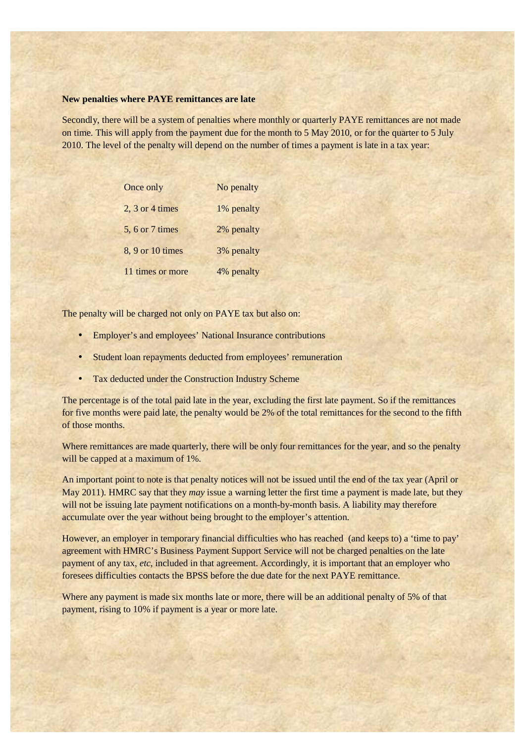### **New penalties where PAYE remittances are late**

Secondly, there will be a system of penalties where monthly or quarterly PAYE remittances are not made on time. This will apply from the payment due for the month to 5 May 2010, or for the quarter to 5 July 2010. The level of the penalty will depend on the number of times a payment is late in a tax year:

| Once only         | No penalty |
|-------------------|------------|
| $2, 3$ or 4 times | 1% penalty |
| 5, 6 or 7 times   | 2% penalty |
| 8, 9 or 10 times  | 3% penalty |
| 11 times or more  | 4% penalty |

The penalty will be charged not only on PAYE tax but also on:

- Employer's and employees' National Insurance contributions
- Student loan repayments deducted from employees' remuneration
- Tax deducted under the Construction Industry Scheme

The percentage is of the total paid late in the year, excluding the first late payment. So if the remittances for five months were paid late, the penalty would be 2% of the total remittances for the second to the fifth of those months.

Where remittances are made quarterly, there will be only four remittances for the year, and so the penalty will be capped at a maximum of 1%.

An important point to note is that penalty notices will not be issued until the end of the tax year (April or May 2011). HMRC say that they *may* issue a warning letter the first time a payment is made late, but they will not be issuing late payment notifications on a month-by-month basis. A liability may therefore accumulate over the year without being brought to the employer's attention.

However, an employer in temporary financial difficulties who has reached (and keeps to) a 'time to pay' agreement with HMRC's Business Payment Support Service will not be charged penalties on the late payment of any tax, *etc*, included in that agreement. Accordingly, it is important that an employer who foresees difficulties contacts the BPSS before the due date for the next PAYE remittance.

Where any payment is made six months late or more, there will be an additional penalty of 5% of that payment, rising to 10% if payment is a year or more late.